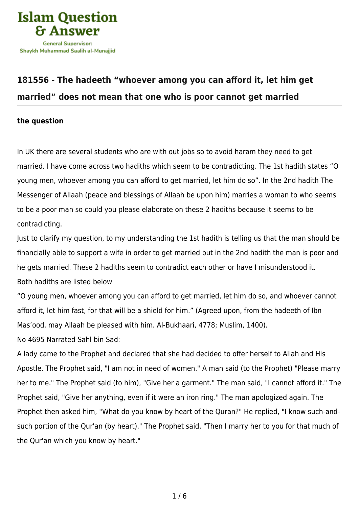

## **[181556 - The hadeeth "whoever among you can afford it, let him get](https://islamqa.com/en/answers/181556/the-hadeeth-whoever-among-you-can-afford-it-let-him-get-married-does-not-mean-that-one-who-is-poor-cannot-get-married) [married" does not mean that one who is poor cannot get married](https://islamqa.com/en/answers/181556/the-hadeeth-whoever-among-you-can-afford-it-let-him-get-married-does-not-mean-that-one-who-is-poor-cannot-get-married)**

## **the question**

In UK there are several students who are with out jobs so to avoid haram they need to get married. I have come across two hadiths which seem to be contradicting. The 1st hadith states "O young men, whoever among you can afford to get married, let him do so". In the 2nd hadith The Messenger of Allaah (peace and blessings of Allaah be upon him) marries a woman to who seems to be a poor man so could you please elaborate on these 2 hadiths because it seems to be contradicting.

Just to clarify my question, to my understanding the 1st hadith is telling us that the man should be financially able to support a wife in order to get married but in the 2nd hadith the man is poor and he gets married. These 2 hadiths seem to contradict each other or have I misunderstood it. Both hadiths are listed below

"O young men, whoever among you can afford to get married, let him do so, and whoever cannot afford it, let him fast, for that will be a shield for him." (Agreed upon, from the hadeeth of Ibn Mas'ood, may Allaah be pleased with him. Al-Bukhaari, 4778; Muslim, 1400).

No 4695 Narrated Sahl bin Sad:

A lady came to the Prophet and declared that she had decided to offer herself to Allah and His Apostle. The Prophet said, "I am not in need of women." A man said (to the Prophet) "Please marry her to me." The Prophet said (to him), "Give her a garment." The man said, "I cannot afford it." The Prophet said, "Give her anything, even if it were an iron ring." The man apologized again. The Prophet then asked him, "What do you know by heart of the Quran?" He replied, "I know such-andsuch portion of the Qur'an (by heart)." The Prophet said, "Then I marry her to you for that much of the Qur'an which you know by heart."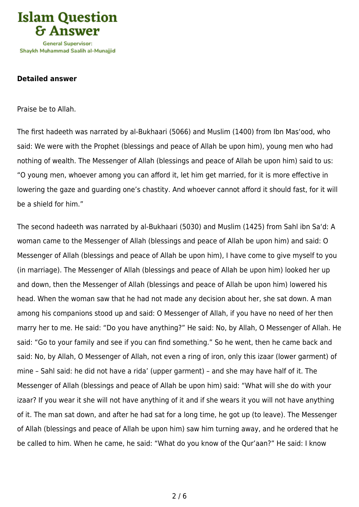

## **Detailed answer**

Praise be to Allah.

The first hadeeth was narrated by al-Bukhaari (5066) and Muslim (1400) from Ibn Mas'ood, who said: We were with the Prophet (blessings and peace of Allah be upon him), young men who had nothing of wealth. The Messenger of Allah (blessings and peace of Allah be upon him) said to us: "O young men, whoever among you can afford it, let him get married, for it is more effective in lowering the gaze and guarding one's chastity. And whoever cannot afford it should fast, for it will be a shield for him."

The second hadeeth was narrated by al-Bukhaari (5030) and Muslim (1425) from Sahl ibn Sa'd: A woman came to the Messenger of Allah (blessings and peace of Allah be upon him) and said: O Messenger of Allah (blessings and peace of Allah be upon him), I have come to give myself to you (in marriage). The Messenger of Allah (blessings and peace of Allah be upon him) looked her up and down, then the Messenger of Allah (blessings and peace of Allah be upon him) lowered his head. When the woman saw that he had not made any decision about her, she sat down. A man among his companions stood up and said: O Messenger of Allah, if you have no need of her then marry her to me. He said: "Do you have anything?" He said: No, by Allah, O Messenger of Allah. He said: "Go to your family and see if you can find something." So he went, then he came back and said: No, by Allah, O Messenger of Allah, not even a ring of iron, only this izaar (lower garment) of mine – Sahl said: he did not have a rida' (upper garment) – and she may have half of it. The Messenger of Allah (blessings and peace of Allah be upon him) said: "What will she do with your izaar? If you wear it she will not have anything of it and if she wears it you will not have anything of it. The man sat down, and after he had sat for a long time, he got up (to leave). The Messenger of Allah (blessings and peace of Allah be upon him) saw him turning away, and he ordered that he be called to him. When he came, he said: "What do you know of the Qur'aan?" He said: I know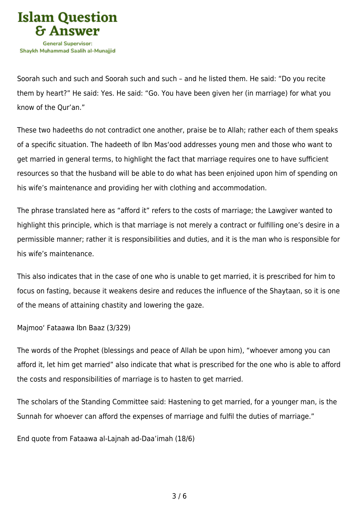

Soorah such and such and Soorah such and such – and he listed them. He said: "Do you recite them by heart?" He said: Yes. He said: "Go. You have been given her (in marriage) for what you know of the Qur'an."

These two hadeeths do not contradict one another, praise be to Allah; rather each of them speaks of a specific situation. The hadeeth of Ibn Mas'ood addresses young men and those who want to get married in general terms, to highlight the fact that marriage requires one to have sufficient resources so that the husband will be able to do what has been enjoined upon him of spending on his wife's maintenance and providing her with clothing and accommodation.

The phrase translated here as "afford it" refers to the costs of marriage; the Lawgiver wanted to highlight this principle, which is that marriage is not merely a contract or fulfilling one's desire in a permissible manner; rather it is responsibilities and duties, and it is the man who is responsible for his wife's maintenance.

This also indicates that in the case of one who is unable to get married, it is prescribed for him to focus on fasting, because it weakens desire and reduces the influence of the Shaytaan, so it is one of the means of attaining chastity and lowering the gaze.

Majmoo' Fataawa Ibn Baaz (3/329)

The words of the Prophet (blessings and peace of Allah be upon him), "whoever among you can afford it, let him get married" also indicate that what is prescribed for the one who is able to afford the costs and responsibilities of marriage is to hasten to get married.

The scholars of the Standing Committee said: Hastening to get married, for a younger man, is the Sunnah for whoever can afford the expenses of marriage and fulfil the duties of marriage."

End quote from Fataawa al-Lajnah ad-Daa'imah (18/6)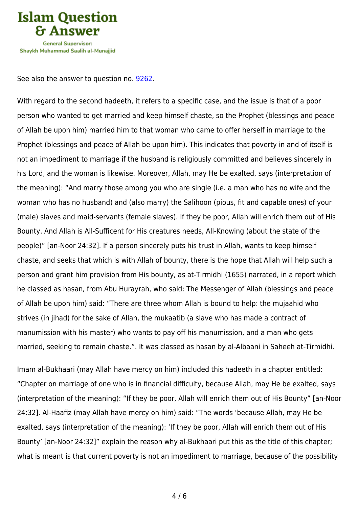

See also the answer to question no. [9262.](https://islamqa.com/en/answers/9262)

With regard to the second hadeeth, it refers to a specific case, and the issue is that of a poor person who wanted to get married and keep himself chaste, so the Prophet (blessings and peace of Allah be upon him) married him to that woman who came to offer herself in marriage to the Prophet (blessings and peace of Allah be upon him). This indicates that poverty in and of itself is not an impediment to marriage if the husband is religiously committed and believes sincerely in his Lord, and the woman is likewise. Moreover, Allah, may He be exalted, says (interpretation of the meaning): "And marry those among you who are single (i.e. a man who has no wife and the woman who has no husband) and (also marry) the Salihoon (pious, fit and capable ones) of your (male) slaves and maid-servants (female slaves). If they be poor, Allah will enrich them out of His Bounty. And Allah is All-Sufficent for His creatures needs, All-Knowing (about the state of the people)" [an-Noor 24:32]. If a person sincerely puts his trust in Allah, wants to keep himself chaste, and seeks that which is with Allah of bounty, there is the hope that Allah will help such a person and grant him provision from His bounty, as at-Tirmidhi (1655) narrated, in a report which he classed as hasan, from Abu Hurayrah, who said: The Messenger of Allah (blessings and peace of Allah be upon him) said: "There are three whom Allah is bound to help: the mujaahid who strives (in jihad) for the sake of Allah, the mukaatib (a slave who has made a contract of manumission with his master) who wants to pay off his manumission, and a man who gets married, seeking to remain chaste.". It was classed as hasan by al-Albaani in Saheeh at-Tirmidhi.

Imam al-Bukhaari (may Allah have mercy on him) included this hadeeth in a chapter entitled: "Chapter on marriage of one who is in financial difficulty, because Allah, may He be exalted, says (interpretation of the meaning): "If they be poor, Allah will enrich them out of His Bounty" [an-Noor 24:32]. Al-Haafiz (may Allah have mercy on him) said: "The words 'because Allah, may He be exalted, says (interpretation of the meaning): 'If they be poor, Allah will enrich them out of His Bounty' [an-Noor 24:32]" explain the reason why al-Bukhaari put this as the title of this chapter; what is meant is that current poverty is not an impediment to marriage, because of the possibility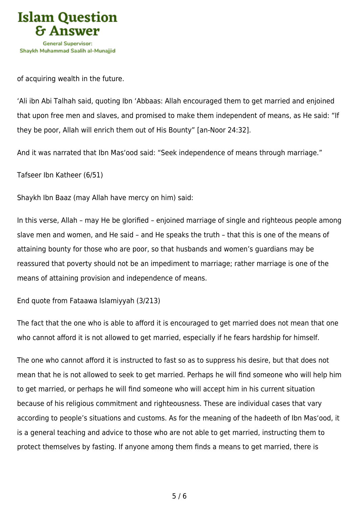

of acquiring wealth in the future.

'Ali ibn Abi Talhah said, quoting Ibn 'Abbaas: Allah encouraged them to get married and enjoined that upon free men and slaves, and promised to make them independent of means, as He said: "If they be poor, Allah will enrich them out of His Bounty" [an-Noor 24:32].

And it was narrated that Ibn Mas'ood said: "Seek independence of means through marriage."

Tafseer Ibn Katheer (6/51)

Shaykh Ibn Baaz (may Allah have mercy on him) said:

In this verse, Allah – may He be glorified – enjoined marriage of single and righteous people among slave men and women, and He said – and He speaks the truth – that this is one of the means of attaining bounty for those who are poor, so that husbands and women's guardians may be reassured that poverty should not be an impediment to marriage; rather marriage is one of the means of attaining provision and independence of means.

End quote from Fataawa Islamiyyah (3/213)

The fact that the one who is able to afford it is encouraged to get married does not mean that one who cannot afford it is not allowed to get married, especially if he fears hardship for himself.

The one who cannot afford it is instructed to fast so as to suppress his desire, but that does not mean that he is not allowed to seek to get married. Perhaps he will find someone who will help him to get married, or perhaps he will find someone who will accept him in his current situation because of his religious commitment and righteousness. These are individual cases that vary according to people's situations and customs. As for the meaning of the hadeeth of Ibn Mas'ood, it is a general teaching and advice to those who are not able to get married, instructing them to protect themselves by fasting. If anyone among them finds a means to get married, there is